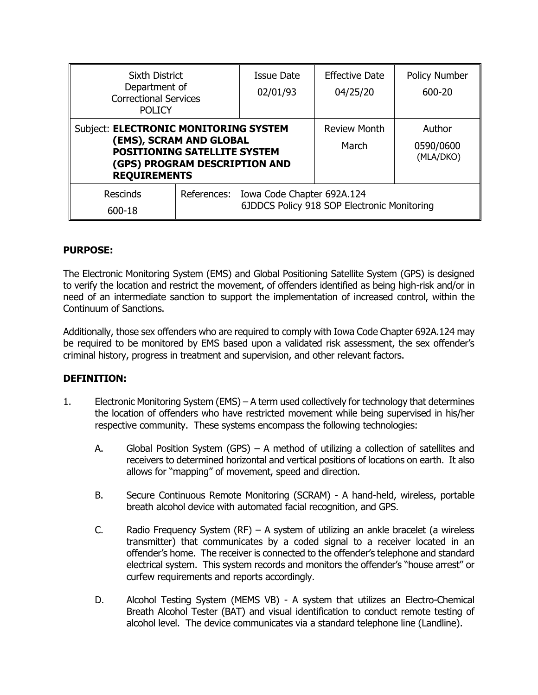| <b>Sixth District</b><br>Department of<br><b>Correctional Services</b><br><b>POLICY</b>                                                                         |  | <b>Issue Date</b><br>02/01/93                                                         | <b>Effective Date</b><br>04/25/20 | Policy Number<br>600-20          |
|-----------------------------------------------------------------------------------------------------------------------------------------------------------------|--|---------------------------------------------------------------------------------------|-----------------------------------|----------------------------------|
| Subject: ELECTRONIC MONITORING SYSTEM<br>(EMS), SCRAM AND GLOBAL<br><b>POSITIONING SATELLITE SYSTEM</b><br>(GPS) PROGRAM DESCRIPTION AND<br><b>REQUIREMENTS</b> |  |                                                                                       | <b>Review Month</b><br>March      | Author<br>0590/0600<br>(MLA/DKO) |
| <b>Rescinds</b><br>600-18                                                                                                                                       |  | References: Iowa Code Chapter 692A.124<br>6JDDCS Policy 918 SOP Electronic Monitoring |                                   |                                  |

## **PURPOSE:**

The Electronic Monitoring System (EMS) and Global Positioning Satellite System (GPS) is designed to verify the location and restrict the movement, of offenders identified as being high-risk and/or in need of an intermediate sanction to support the implementation of increased control, within the Continuum of Sanctions.

Additionally, those sex offenders who are required to comply with Iowa Code Chapter 692A.124 may be required to be monitored by EMS based upon a validated risk assessment, the sex offender's criminal history, progress in treatment and supervision, and other relevant factors.

### **DEFINITION:**

- 1. Electronic Monitoring System (EMS) A term used collectively for technology that determines the location of offenders who have restricted movement while being supervised in his/her respective community. These systems encompass the following technologies:
	- A. Global Position System (GPS) A method of utilizing a collection of satellites and receivers to determined horizontal and vertical positions of locations on earth. It also allows for "mapping" of movement, speed and direction.
	- B. Secure Continuous Remote Monitoring (SCRAM) A hand-held, wireless, portable breath alcohol device with automated facial recognition, and GPS.
	- C. Radio Frequency System (RF) A system of utilizing an ankle bracelet (a wireless transmitter) that communicates by a coded signal to a receiver located in an offender's home. The receiver is connected to the offender's telephone and standard electrical system. This system records and monitors the offender's "house arrest" or curfew requirements and reports accordingly.
	- D. Alcohol Testing System (MEMS VB) A system that utilizes an Electro-Chemical Breath Alcohol Tester (BAT) and visual identification to conduct remote testing of alcohol level. The device communicates via a standard telephone line (Landline).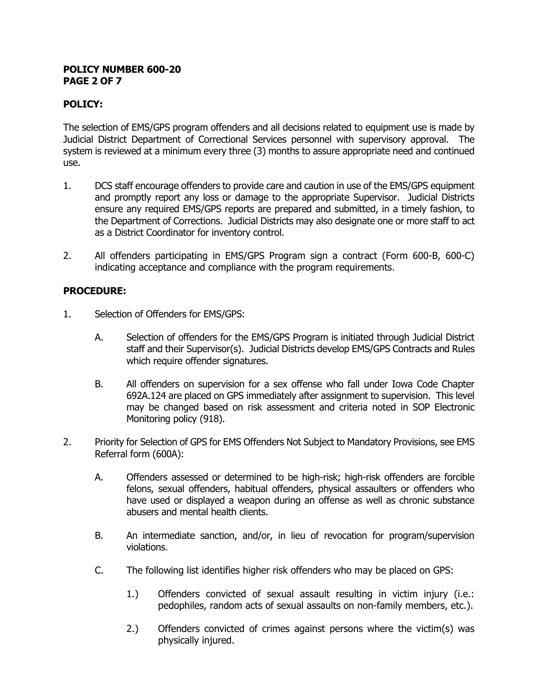#### **POLICY NUMBER 600-20 PAGE 2 OF 7**

## **POLICY:**

The selection of EMS/GPS program offenders and all decisions related to equipment use is made by Judicial District Department of Correctional Services personnel with supervisory approval. The system is reviewed at a minimum every three (3) months to assure appropriate need and continued use.

- 1. DCS staff encourage offenders to provide care and caution in use of the EMS/GPS equipment and promptly report any loss or damage to the appropriate Supervisor. Judicial Districts ensure any required EMS/GPS reports are prepared and submitted, in a timely fashion, to the Department of Corrections. Judicial Districts may also designate one or more staff to act as a District Coordinator for inventory control.
- 2. All offenders participating in EMS/GPS Program sign a contract (Form 600-B, 600-C) indicating acceptance and compliance with the program requirements.

## **PROCEDURE:**

- 1. Selection of Offenders for EMS/GPS:
	- A. Selection of offenders for the EMS/GPS Program is initiated through Judicial District staff and their Supervisor(s). Judicial Districts develop EMS/GPS Contracts and Rules which require offender signatures.
	- B. All offenders on supervision for a sex offense who fall under Iowa Code Chapter 692A.124 are placed on GPS immediately after assignment to supervision. This level may be changed based on risk assessment and criteria noted in SOP Electronic Monitoring policy (918).
- 2. Priority for Selection of GPS for EMS Offenders Not Subject to Mandatory Provisions, see EMS Referral form (600A):
	- A. Offenders assessed or determined to be high-risk; high-risk offenders are forcible felons, sexual offenders, habitual offenders, physical assaulters or offenders who have used or displayed a weapon during an offense as well as chronic substance abusers and mental health clients.
	- B. An intermediate sanction, and/or, in lieu of revocation for program/supervision violations.
	- C. The following list identifies higher risk offenders who may be placed on GPS:
		- 1.) Offenders convicted of sexual assault resulting in victim injury (i.e.: pedophiles, random acts of sexual assaults on non-family members, etc.).
		- 2.) Offenders convicted of crimes against persons where the victim(s) was physically injured.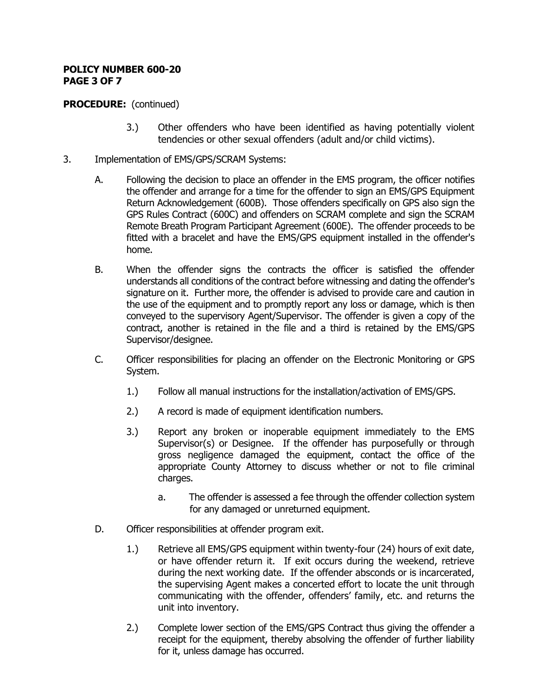#### **POLICY NUMBER 600-20 PAGE 3 OF 7**

# **PROCEDURE:** (continued)

- 3.) Other offenders who have been identified as having potentially violent tendencies or other sexual offenders (adult and/or child victims).
- 3. Implementation of EMS/GPS/SCRAM Systems:
	- A. Following the decision to place an offender in the EMS program, the officer notifies the offender and arrange for a time for the offender to sign an EMS/GPS Equipment Return Acknowledgement (600B). Those offenders specifically on GPS also sign the GPS Rules Contract (600C) and offenders on SCRAM complete and sign the SCRAM Remote Breath Program Participant Agreement (600E).The offender proceeds to be fitted with a bracelet and have the EMS/GPS equipment installed in the offender's home.
	- B. When the offender signs the contracts the officer is satisfied the offender understands all conditions of the contract before witnessing and dating the offender's signature on it. Further more, the offender is advised to provide care and caution in the use of the equipment and to promptly report any loss or damage, which is then conveyed to the supervisory Agent/Supervisor. The offender is given a copy of the contract, another is retained in the file and a third is retained by the EMS/GPS Supervisor/designee.
	- C. Officer responsibilities for placing an offender on the Electronic Monitoring or GPS System.
		- 1.) Follow all manual instructions for the installation/activation of EMS/GPS.
		- 2.) A record is made of equipment identification numbers.
		- 3.) Report any broken or inoperable equipment immediately to the EMS Supervisor(s) or Designee. If the offender has purposefully or through gross negligence damaged the equipment, contact the office of the appropriate County Attorney to discuss whether or not to file criminal charges.
			- a. The offender is assessed a fee through the offender collection system for any damaged or unreturned equipment.
	- D. Officer responsibilities at offender program exit.
		- 1.) Retrieve all EMS/GPS equipment within twenty-four (24) hours of exit date, or have offender return it. If exit occurs during the weekend, retrieve during the next working date. If the offender absconds or is incarcerated, the supervising Agent makes a concerted effort to locate the unit through communicating with the offender, offenders' family, etc. and returns the unit into inventory.
		- 2.) Complete lower section of the EMS/GPS Contract thus giving the offender a receipt for the equipment, thereby absolving the offender of further liability for it, unless damage has occurred.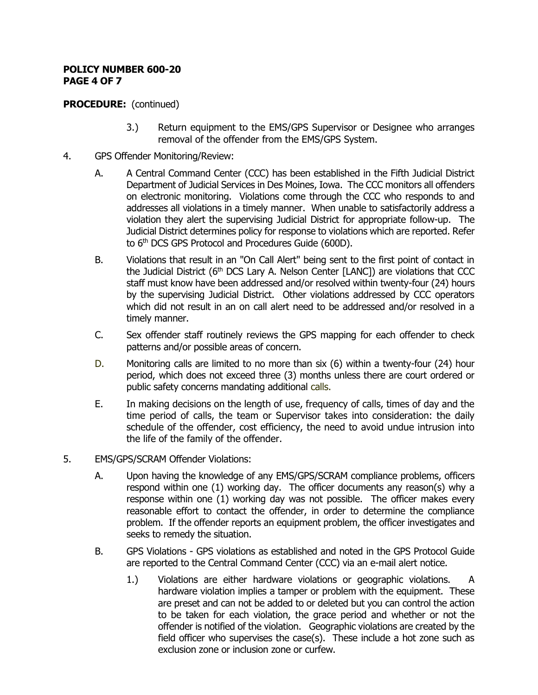#### **POLICY NUMBER 600-20 PAGE 4 OF 7**

# **PROCEDURE:** (continued)

- 3.) Return equipment to the EMS/GPS Supervisor or Designee who arranges removal of the offender from the EMS/GPS System.
- 4. GPS Offender Monitoring/Review:
	- A. A Central Command Center (CCC) has been established in the Fifth Judicial District Department of Judicial Services in Des Moines, Iowa. The CCC monitors all offenders on electronic monitoring. Violations come through the CCC who responds to and addresses all violations in a timely manner. When unable to satisfactorily address a violation they alert the supervising Judicial District for appropriate follow-up. The Judicial District determines policy for response to violations which are reported. Refer to 6<sup>th</sup> DCS GPS Protocol and Procedures Guide (600D).
	- B. Violations that result in an "On Call Alert" being sent to the first point of contact in the Judicial District ( $6<sup>th</sup> DCS$  Lary A. Nelson Center [LANC]) are violations that CCC staff must know have been addressed and/or resolved within twenty-four (24) hours by the supervising Judicial District. Other violations addressed by CCC operators which did not result in an on call alert need to be addressed and/or resolved in a timely manner.
	- C. Sex offender staff routinely reviews the GPS mapping for each offender to check patterns and/or possible areas of concern.
	- D. Monitoring calls are limited to no more than six (6) within a twenty-four (24) hour period, which does not exceed three (3) months unless there are court ordered or public safety concerns mandating additional calls.
	- E. In making decisions on the length of use, frequency of calls, times of day and the time period of calls, the team or Supervisor takes into consideration: the daily schedule of the offender, cost efficiency, the need to avoid undue intrusion into the life of the family of the offender.
- 5. EMS/GPS/SCRAM Offender Violations:
	- A. Upon having the knowledge of any EMS/GPS/SCRAM compliance problems, officers respond within one (1) working day. The officer documents any reason(s) why a response within one (1) working day was not possible. The officer makes every reasonable effort to contact the offender, in order to determine the compliance problem. If the offender reports an equipment problem, the officer investigates and seeks to remedy the situation.
	- B. GPS Violations GPS violations as established and noted in the GPS Protocol Guide are reported to the Central Command Center (CCC) via an e-mail alert notice.
		- 1.) Violations are either hardware violations or geographic violations. A hardware violation implies a tamper or problem with the equipment. These are preset and can not be added to or deleted but you can control the action to be taken for each violation, the grace period and whether or not the offender is notified of the violation. Geographic violations are created by the field officer who supervises the case(s). These include a hot zone such as exclusion zone or inclusion zone or curfew.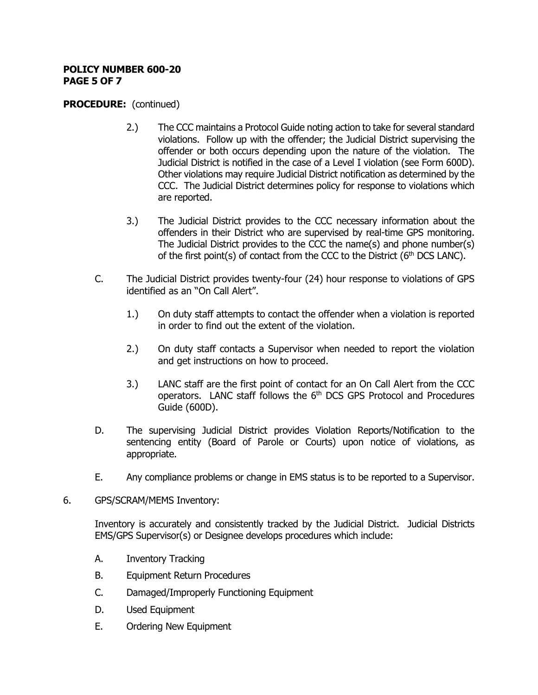#### **POLICY NUMBER 600-20 PAGE 5 OF 7**

### **PROCEDURE:** (continued)

- 2.) The CCC maintains a Protocol Guide noting action to take for several standard violations. Follow up with the offender; the Judicial District supervising the offender or both occurs depending upon the nature of the violation. The Judicial District is notified in the case of a Level I violation (see Form 600D). Other violations may require Judicial District notification as determined by the CCC. The Judicial District determines policy for response to violations which are reported.
- 3.) The Judicial District provides to the CCC necessary information about the offenders in their District who are supervised by real-time GPS monitoring. The Judicial District provides to the CCC the name(s) and phone number(s) of the first point(s) of contact from the CCC to the District ( $6<sup>th</sup>$  DCS LANC).
- C. The Judicial District provides twenty-four (24) hour response to violations of GPS identified as an "On Call Alert".
	- 1.) On duty staff attempts to contact the offender when a violation is reported in order to find out the extent of the violation.
	- 2.) On duty staff contacts a Supervisor when needed to report the violation and get instructions on how to proceed.
	- 3.) LANC staff are the first point of contact for an On Call Alert from the CCC operators. LANC staff follows the  $6<sup>th</sup>$  DCS GPS Protocol and Procedures Guide (600D).
- D. The supervising Judicial District provides Violation Reports/Notification to the sentencing entity (Board of Parole or Courts) upon notice of violations, as appropriate.
- E. Any compliance problems or change in EMS status is to be reported to a Supervisor.

### 6. GPS/SCRAM/MEMS Inventory:

Inventory is accurately and consistently tracked by the Judicial District. Judicial Districts EMS/GPS Supervisor(s) or Designee develops procedures which include:

- A. Inventory Tracking
- B. Equipment Return Procedures
- C. Damaged/Improperly Functioning Equipment
- D. Used Equipment
- E. Ordering New Equipment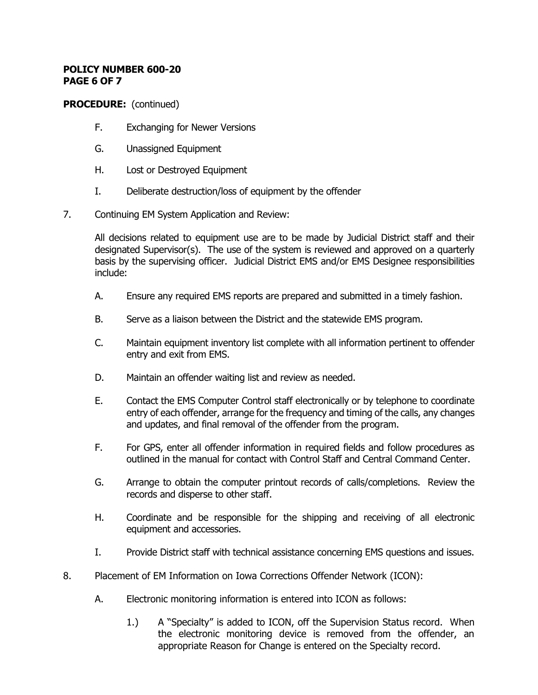#### **POLICY NUMBER 600-20 PAGE 6 OF 7**

# **PROCEDURE:** (continued)

- F. Exchanging for Newer Versions
- G. Unassigned Equipment
- H. Lost or Destroyed Equipment
- I. Deliberate destruction/loss of equipment by the offender
- 7. Continuing EM System Application and Review:

All decisions related to equipment use are to be made by Judicial District staff and their designated Supervisor(s). The use of the system is reviewed and approved on a quarterly basis by the supervising officer. Judicial District EMS and/or EMS Designee responsibilities include:

- A. Ensure any required EMS reports are prepared and submitted in a timely fashion.
- B. Serve as a liaison between the District and the statewide EMS program.
- C. Maintain equipment inventory list complete with all information pertinent to offender entry and exit from EMS.
- D. Maintain an offender waiting list and review as needed.
- E. Contact the EMS Computer Control staff electronically or by telephone to coordinate entry of each offender, arrange for the frequency and timing of the calls, any changes and updates, and final removal of the offender from the program.
- F. For GPS, enter all offender information in required fields and follow procedures as outlined in the manual for contact with Control Staff and Central Command Center.
- G. Arrange to obtain the computer printout records of calls/completions. Review the records and disperse to other staff.
- H. Coordinate and be responsible for the shipping and receiving of all electronic equipment and accessories.
- I. Provide District staff with technical assistance concerning EMS questions and issues.
- 8. Placement of EM Information on Iowa Corrections Offender Network (ICON):
	- A. Electronic monitoring information is entered into ICON as follows:
		- 1.) A "Specialty" is added to ICON, off the Supervision Status record. When the electronic monitoring device is removed from the offender, an appropriate Reason for Change is entered on the Specialty record.